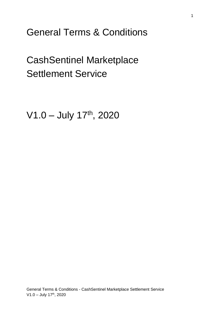General Terms & Conditions

CashSentinel Marketplace Settlement Service

V1.0 - July 17th, 2020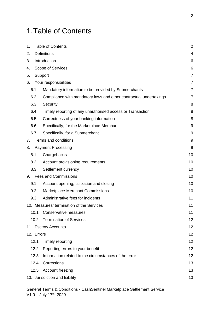# <span id="page-1-0"></span>1.Table of Contents

| 1.                             |                   | <b>Table of Contents</b>                                          | $\overline{2}$ |  |  |
|--------------------------------|-------------------|-------------------------------------------------------------------|----------------|--|--|
| 2.                             |                   | <b>Definitions</b>                                                | 4              |  |  |
| 3.                             | Introduction      |                                                                   |                |  |  |
| 4.                             | Scope of Services |                                                                   |                |  |  |
| 5.                             |                   | Support                                                           | $\overline{7}$ |  |  |
| 6.                             |                   | Your responsibilities                                             | $\overline{7}$ |  |  |
| 6.1                            |                   | Mandatory information to be provided by Submerchants              | $\overline{7}$ |  |  |
| 6.2                            |                   | Compliance with mandatory laws and other contractual undertakings | $\overline{7}$ |  |  |
| 6.3                            |                   | Security                                                          | 8              |  |  |
| 6.4                            |                   | Timely reporting of any unauthorised access or Transaction        | 8              |  |  |
| 6.5                            |                   | Correctness of your banking information                           | 8              |  |  |
| 6.6                            |                   | Specifically, for the Marketplace-Merchant                        | 9              |  |  |
| 6.7                            |                   | Specifically, for a Submerchant                                   | 9              |  |  |
| 7.                             |                   | Terms and conditions                                              | 9              |  |  |
| 8.                             |                   | <b>Payment Processing</b>                                         | 9              |  |  |
| 8.1                            |                   | Chargebacks                                                       | 10             |  |  |
| 8.2                            |                   | Account provisioning requirements                                 | 10             |  |  |
| 8.3                            |                   | Settlement currency                                               | 10             |  |  |
| 9.                             |                   | <b>Fees and Commissions</b>                                       | 10             |  |  |
| 9.1                            |                   | Account opening, utilization and closing                          | 10             |  |  |
| 9.2                            |                   | Marketplace-Merchant Commissions                                  | 10             |  |  |
| 9.3                            |                   | Administrative fees for incidents                                 | 11             |  |  |
|                                |                   | 10. Measures/termination of the Services                          | 11             |  |  |
|                                | 10.1              | Conservative measures                                             | 11             |  |  |
|                                | 10.2              | <b>Termination of Services</b>                                    | 12             |  |  |
|                                |                   | 11. Escrow Accounts                                               | 12             |  |  |
|                                | 12. Errors        |                                                                   | 12             |  |  |
|                                | 12.1              | Timely reporting                                                  | 12             |  |  |
|                                | 12.2              | Reporting errors to your benefit                                  | 12             |  |  |
|                                | 12.3              | Information related to the circumstances of the error             | 12             |  |  |
|                                | 12.4              | Corrections                                                       | 13             |  |  |
|                                | 12.5              | Account freezing                                                  | 13             |  |  |
| 13. Jurisdiction and liability |                   |                                                                   | 13             |  |  |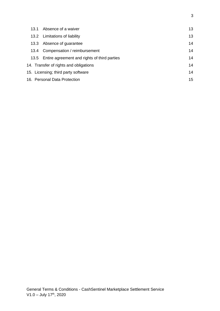| 13.1 | Absence of a waiver                               | 13 |  |
|------|---------------------------------------------------|----|--|
|      | 13.2 Limitations of liability                     | 13 |  |
| 13.3 | Absence of guarantee                              | 14 |  |
|      | 13.4 Compensation / reimbursement                 | 14 |  |
|      | 13.5 Entire agreement and rights of third parties | 14 |  |
|      | 14. Transfer of rights and obligations            | 14 |  |
|      | 15. Licensing; third party software               | 14 |  |
|      | 16. Personal Data Protection                      |    |  |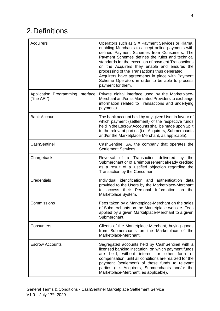# <span id="page-3-0"></span>2.Definitions

| Acquirers                                        | Operators such as SIX Payment Services or Klarna,<br>enabling Merchants to accept online payments with<br>defined Payment Schemes from Consumers. The<br>Payment Schemes defines the rules and technical<br>standards for the execution of payment Transactions<br>on the Acquirers they enable and ensures the<br>processing of the Transactions thus generated.<br>Acquirers have agreements in place with Payment<br>Scheme Operators in order to be able to process<br>payment for them. |
|--------------------------------------------------|----------------------------------------------------------------------------------------------------------------------------------------------------------------------------------------------------------------------------------------------------------------------------------------------------------------------------------------------------------------------------------------------------------------------------------------------------------------------------------------------|
| Application Programming Interface<br>("the API") | Private digital interface used by the Marketplace-<br>Merchant and/or its Mandated Providers to exchange<br>information related to Transactions and underlying<br>payments.                                                                                                                                                                                                                                                                                                                  |
| <b>Bank Account</b>                              | The bank account held by any given User in favour of<br>which payment (settlement) of the respective funds<br>held in the Escrow Accounts shall be made upon Split<br>to the relevant parties (i.e. Acquirers, Submerchants<br>and/or the Marketplace-Merchant, as applicable).                                                                                                                                                                                                              |
| CashSentinel                                     | CashSentinel SA, the company that operates the<br><b>Settlement Services.</b>                                                                                                                                                                                                                                                                                                                                                                                                                |
| Chargeback                                       | Reversal of a Transaction delivered<br>by the<br>Submerchant or of a reimbursement already credited<br>as a result of a justified objection regarding the<br>Transaction by the Consumer.                                                                                                                                                                                                                                                                                                    |
| Credentials                                      | Individual identification and authentication data<br>provided to the Users by the Marketplace-Merchant<br>their Personal Information<br>access<br>the<br>to<br>on<br>Marketplace System.                                                                                                                                                                                                                                                                                                     |
| Commissions                                      | Fees taken by a Marketplace-Merchant on the sales<br>of Submerchants on the Marketplace website. Fees<br>applied by a given Marketplace-Merchant to a given<br>Submerchant.                                                                                                                                                                                                                                                                                                                  |
| Consumers                                        | Clients of the Marketplace-Merchant, buying goods<br>from Submerchants on the Marketplace of the<br>Marketplace-Merchant.                                                                                                                                                                                                                                                                                                                                                                    |
| <b>Escrow Accounts</b>                           | Segregated accounts held by CashSentinel with a<br>licensed banking institution, on which payment funds<br>without interest or other form<br>held,<br>are<br>of .<br>compensation, until all conditions are realized for the<br>payment (settlement) of these funds to relevant<br>parties (i.e. Acquirers, Submerchants and/or the<br>Marketplace-Merchant, as applicable).                                                                                                                 |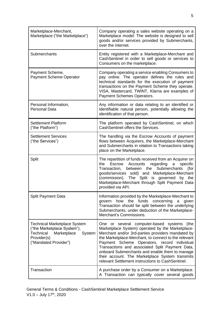| Marketplace-Merchant,<br>Marketplace ("the Marketplace")                                                                                         | Company operating a sales website operating on a<br>Marketplace model: The website is designed to sell<br>goods and/or services provided by Submerchants,<br>over the internet.                                                                                                                                                                                                                                                                                                     |
|--------------------------------------------------------------------------------------------------------------------------------------------------|-------------------------------------------------------------------------------------------------------------------------------------------------------------------------------------------------------------------------------------------------------------------------------------------------------------------------------------------------------------------------------------------------------------------------------------------------------------------------------------|
| Submerchants                                                                                                                                     | Entity registered with a Marketplace-Merchant and<br>CashSentinel in order to sell goods or services to<br>Consumers on the marketplace.                                                                                                                                                                                                                                                                                                                                            |
| Payment Scheme,<br><b>Payment Scheme Operator</b>                                                                                                | Company operating a service enabling Consumers to<br>pay online. The operator defines the rules and<br>technical standards for the execution of payment<br>transactions on the Payment Scheme they operate.<br>VISA, Mastercard, TWINT, Klarna are examples of<br>Payment Schemes Operators.                                                                                                                                                                                        |
| Personal Information,<br><b>Personal Data</b>                                                                                                    | Any information or data relating to an identified or<br>identifiable natural person, potentially allowing the<br>identification of that person.                                                                                                                                                                                                                                                                                                                                     |
| <b>Settlement Platform</b><br>("the Platform")                                                                                                   | The platform operated by CashSentinel, on which<br>CashSentinel offers the Services.                                                                                                                                                                                                                                                                                                                                                                                                |
| <b>Settlement Services</b><br>("the Services")                                                                                                   | The handling via the Escrow Accounts of payment<br>flows between Acquirers, the Marketplace-Merchant<br>and Submerchants in relation to Transactions taking<br>place on the Marketplace.                                                                                                                                                                                                                                                                                            |
| Split                                                                                                                                            | The repartition of funds received from an Acquirer on<br>Accounts<br>regarding<br>the<br>Escrow<br>a<br>specific<br>between the<br>Submerchants<br>Transaction,<br>(for<br>goods/services sold) and Marketplace-Merchant<br>(commission). The Split is governed by<br>the<br>Marketplace-Merchant through Split Payment Data<br>provided via API.                                                                                                                                   |
| <b>Split Payment Data</b>                                                                                                                        | Information provided by the Marketplace-Merchant to<br>how<br>the funds<br>concerning<br>govern<br>a<br>given<br>Transaction should be split between the underlying<br>Submerchants, under deduction of the Marketplace-<br>Merchant's Commissions.                                                                                                                                                                                                                                 |
| <b>Technical Marketplace System</b><br>("the Marketplace System"),<br>Technical<br>Marketplace<br>System<br>Provider(s)<br>("Mandated Provider") | several computer-based systems<br>(the<br>One or<br>Marketplace System) operated by the Marketplace-<br>Merchant and/or 3rd-parties providers mandated by<br>the Marketplace-Merchant, to connect to the relevant<br>Operators, record<br>Payment Scheme<br>individual<br>Transactions and associated Split Payment Data,<br>onboard Submerchants and enable them to manage<br>their account. The Marketplace System transmits<br>relevant Settlement instructions to CashSentinel. |
| Transaction                                                                                                                                      | A purchase order by a Consumer on a Marketplace.<br>A Transaction can typically cover several goods                                                                                                                                                                                                                                                                                                                                                                                 |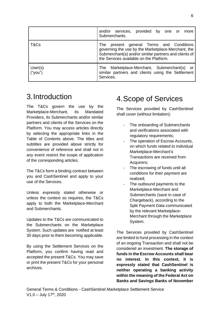|                    | and/or services, provided by one or<br>more<br>Submerchants.                                                                                                                                          |
|--------------------|-------------------------------------------------------------------------------------------------------------------------------------------------------------------------------------------------------|
| T&Cs               | present general Terms and Conditions<br>The<br>governing the use by the Marketplace-Merchant, the<br>Submerchant(s) and/or similar partners and clients of<br>the Services available on the Platform. |
| User(s)<br>("you") | Marketplace-Merchant, Submerchant(s) or<br>The<br>similar partners and clients using the Settlement<br>Services.                                                                                      |

### <span id="page-5-0"></span>3.Introduction

The T&Cs govern the use by the Marketplace-Merchant, its Mandated Providers, its Submerchants and/or similar partners and clients of the Services on the Platform. You may access articles directly by selecting the appropriate links in the [Table of Contents](#page-1-0) above. The titles and subtitles are provided above strictly for convenience of reference and shall not in any event restrict the scope of application of the corresponding articles.

The T&Cs form a binding contract between you and CashSentinel and apply to your use of the Services.

Unless expressly stated otherwise or unless the context so requires, the T&Cs apply to both the Marketplace-Merchant and Submerchants.

Updates to the T&Cs are communicated to the Submerchants on the Marketplace System. Such updates are notified at least 30 days prior to them becoming applicable.

By using the Settlement Services on the Platform, you confirm having read and accepted the present T&Cs. You may save or print the present T&Cs for your personal archives.

# <span id="page-5-1"></span>4.Scope of Services

The Services provided by CashSentinel shall cover (without limitation):

- The onboarding of Submerchants and verifications associated with regulatory requirements;
- The operation of Escrow Accounts, on which funds related to individual Marketplace-Merchant's Transactions are received from Acquirers;
- The escrowing of funds until all conditions for their payment are realized;
- The outbound payments to the Marketplace-Merchant and Submerchants (save in case of Chargeback), according to the Split Payment Data communicated by the relevant Marketplace-Merchant through the Marketplace System.

The Services provided by CashSentinel are limited to fund processing in the context of an ongoing Transaction and shall not be considered an investment. **The storage of funds in the Escrow Accounts shall bear no interest. In this context, it is expressly stated that CashSentinel is neither operating a banking activity within the meaning of the Federal Act on Banks and Savings Banks of November**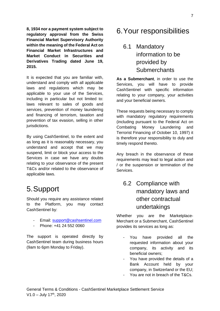**8, 1934 nor a payment system subject to regulatory approval from the Swiss Financial Market Supervisory Authority within the meaning of the Federal Act on Financial Market Infrastructures and Market Conduct in Securities and Derivatives Trading dated June 19, 2015.**

It is expected that you are familiar with, understand and comply with all applicable laws and regulations which may be applicable to your use of the Services, including in particular but not limited to: laws relevant to sales of goods and services, prevention of money laundering and financing of terrorism, taxation and prevention of tax evasion, selling in other jurisdictions.

By using CashSentinel, to the extent and as long as it is reasonably necessary, you understand and accept that we may suspend, limit or block your access to the Services in case we have any doubts relating to your observance of the present T&Cs and/or related to the observance of applicable laws.

## <span id="page-6-0"></span>5.Support

Should you require any assistance related to the Platform, you may contact CashSentinel by:

- Email: [support@cashsentinel.com](mailto:support@cashsentinel.com)
- Phone: +41 24 552 0060

The support is operated directly by CashSentinel team during business hours (9am to 6pm Monday to Friday).

### <span id="page-6-1"></span>6.Your responsibilities

### <span id="page-6-2"></span>6.1 Mandatory information to be provided by **Submerchants**

**As a Submerchant**, in order to use the Services, you will have to provide CashSentinel with specific information relating to your company, your activities and your beneficial owners.

These requests being necessary to comply with mandatory regulatory requirements (including pursuant to the Federal Act on Combating Money Laundering and Terrorist Financing of October 10, 1997) it is therefore your responsibility to duly and timely respond thereto.

Any breach in the observance of these requirements may lead to legal action and / or the suspension or termination of the Services.

### <span id="page-6-3"></span>6.2 Compliance with mandatory laws and other contractual undertakings

Whether you are the Marketplace-Merchant or a Submerchant, CashSentinel provides its services as long as:

- You have provided all the requested information about your company, its activity and its beneficial owners;
- You have provided the details of a Bank Account held by your company, in Switzerland or the EU;
- You are not in breach of the T&Cs.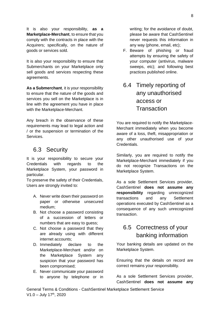It is also your responsibility, **as a Marketplace-Merchant**, to ensure that you comply with the contracts in place with the Acquirers; specifically, on the nature of goods or services sold.

It is also your responsibility to ensure that Submerchants on your Marketplace only sell goods and services respecting these agreements.

**As a Submerchant**, it is your responsibility to ensure that the nature of the goods and services you sell on the Marketplace is in line with the agreement you have in place with the Marketplace-Merchant.

Any breach in the observance of these requirements may lead to legal action and / or the suspension or termination of the Services.

#### <span id="page-7-0"></span>6.3 Security

It is your responsibility to secure your Credentials with regards to the Marketplace System, your password in particular.

To preserve the safety of their Credentials, Users are strongly invited to:

- A. Never write down their password on paper or otherwise unsecured medium;
- B. Not choose a password consisting of a succession of letters or numbers that are easy to guess;
- C. Not choose a password that they are already using with different internet accounts;
- D. Immediately declare to the Marketplace-Merchant and/or on the Marketplace System any suspicion that your password has been compromised;
- E. Never communicate your password to anyone by telephone or in

writing; for the avoidance of doubt, please be aware that CashSentinel never requests this information in any way (phone, email, etc);

F. Beware of phishing or fraud attempts by ensuring the safety of your computer (antivirus, malware sweeps, etc); and following best practices published online.

### <span id="page-7-1"></span>6.4 Timely reporting of any unauthorised access or **Transaction**

You are required to notify the Marketplace-Merchant immediately when you become aware of a loss, theft, misappropriation or any other unauthorised use of your Credentials.

Similarly, you are required to notify the Marketplace-Merchant immediately if you do not recognize Transactions on the Marketplace System.

As a sole Settlement Services provider, CashSentinel **does not assume any responsibility** regarding unrecognized transactions and any Settlement operations executed by CashSentinel as a consequence of any such unrecognized transaction.

### <span id="page-7-2"></span>6.5 Correctness of your banking information

Your banking details are updated on the Marketplace System.

Ensuring that the details on record are correct remains your responsibility.

As a sole Settlement Services provider, CashSentinel **does not assume any**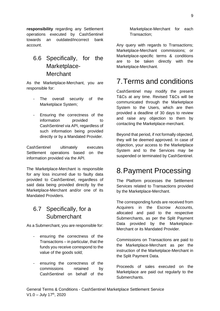**responsibility** regarding any Settlement operations executed by CashSentinel towards an outdated/incorrect bank account.

### <span id="page-8-0"></span>6.6 Specifically, for the Marketplace-**Merchant**

As the Marketplace-Merchant, you are responsible for:

- The overall security of the Marketplace System;
- Ensuring the correctness of the information provided to CashSentinel via API, regardless of such information being provided directly or by a Mandated Provider.

CashSentinel ultimately executes Settlement operations based on the information provided via the API.

The Marketplace-Merchant is responsible for any loss incurred due to faulty data provided to CashSentinel, regardless of said data being provided directly by the Marketplace-Merchant and/or one of its Mandated Providers.

#### <span id="page-8-1"></span>6.7 Specifically, for a Submerchant

As a Submerchant, you are responsible for:

- ensuring the correctness of the Transactions – in particular, that the funds you receive correspond to the value of the goods sold;
- ensuring the correctness of the commissions retained by CashSentinel on behalf of the

Marketplace-Merchant for each Transaction;

Any query with regards to Transactions; Marketplace-Merchant commissions; or Marketplace-specific terms & conditions are to be taken directly with the Marketplace-Merchant.

### <span id="page-8-2"></span>7.Terms and conditions

CashSentinel may modify the present T&Cs at any time. Revised T&Cs will be communicated through the Marketplace System to the Users, which are then provided a deadline of 30 days to review and raise any objection to them by contacting the Marketplace-merchant.

Beyond that period, if not formally objected, they will be deemed approved. In case of objection, your access to the Marketplace System and to the Services may be suspended or terminated by CashSentinel.

# <span id="page-8-3"></span>8.Payment Processing

The Platform processes the Settlement Services related to Transactions provided by the Marketplace-Merchant.

The corresponding funds are received from Acquirers in the Escrow Accounts, allocated and paid to the respective Submerchants, as per the Split Payment Data provided by the Marketplace-Merchant or its Mandated Provider.

Commissions on Transactions are paid to the Marketplace-Merchant as per the instruction of the Marketplace-Merchant in the Split Payment Data.

Proceeds of sales executed on the Marketplace are paid out regularly to the Submerchants.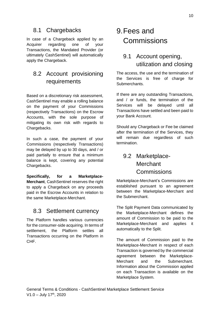#### <span id="page-9-0"></span>8.1 Chargebacks

In case of a Chargeback applied by an Acquirer regarding one of your Transactions, the Mandated Provider (or ultimately CashSentinel) will automatically apply the Chargeback.

### <span id="page-9-1"></span>8.2 Account provisioning requirements

Based on a discretionary risk assessment, CashSentinel may enable a rolling balance on the payment of your Commissions (respectively Transactions) on the Escrow Accounts, with the sole purpose of mitigating its own risk with regards to Chargebacks.

In such a case, the payment of your Commissions (respectively Transactions) may be delayed by up to 30 days, and / or paid partially to ensure that a minimum balance is kept, covering any potential Chargebacks.

**Specifically, for a Marketplace-Merchant**, CashSentinel reserves the right to apply a Chargeback on any proceeds paid in the Escrow Accounts in relation to the same Marketplace-Merchant.

#### <span id="page-9-2"></span>8.3 Settlement currency

The Platform handles various currencies for the consumer-side acquiring. In terms of settlement, the Platform settles all Transactions occurring on the Platform in CHF.

# <span id="page-9-3"></span>9.Fees and Commissions

### <span id="page-9-4"></span>9.1 Account opening, utilization and closing

The access, the use and the termination of the Services is free of charge for Submerchants.

If there are any outstanding Transactions, and / or funds, the termination of the Services will be delayed until all Transactions have settled and been paid to your Bank Account.

Should any Chargeback or Fee be claimed after the termination of the Services, they will remain due regardless of such termination.

### <span id="page-9-5"></span>9.2 Marketplace-**Merchant Commissions**

Marketplace-Merchant's Commissions are established pursuant to an agreement between the Marketplace-Merchant and the Submerchant.

The Split Payment Data communicated by the Marketplace-Merchant defines the amount of Commission to be paid to the Marketplace-Merchant and applies it automatically to the Split.

The amount of Commission paid to the Marketplace-Merchant in respect of each Transaction is governed by the commercial agreement between the Marketplace-Merchant and the Submerchant. Information about the Commission applied on each Transaction is available on the Marketplace System.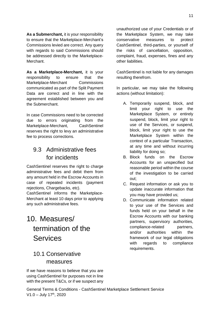**As a Submerchant,** it is your responsibility to ensure that the Marketplace-Merchant's Commissions levied are correct. Any query with regards to said Commissions should be addressed directly to the Marketplace-Merchant.

**As a Marketplace-Merchant,** it is your responsibility to ensure that the Marketplace-Merchant Commissions communicated as part of the Split Payment Data are correct and in line with the agreement established between you and the Submerchant.

In case Commissions need to be corrected due to errors originating from the Marketplace-Merchant, CashSentinel reserves the right to levy an administrative fee to process corrections.

#### <span id="page-10-0"></span>9.3 Administrative fees for incidents

CashSentinel reserves the right to charge administrative fees and debit them from any amount held in the Escrow Accounts in case of repeated incidents (payment rejections, Chargebacks, etc).

CashSentinel informs the Marketplace-Merchant at least 10 days prior to applying any such administrative fees.

# <span id="page-10-1"></span>10. Measures/ termination of the **Services**

### <span id="page-10-2"></span>10.1 Conservative measures

If we have reasons to believe that you are using CashSentinel for purposes not in line with the present T&Cs, or if we suspect any

General Terms & Conditions - CashSentinel Marketplace Settlement Service  $V1.0 - July 17<sup>th</sup>, 2020$ 

unauthorized use of your Credentials or of the Marketplace System, we may take conservative measures to protect CashSentinel, third-parties, or yourself of the risks of cancellation, opposition, complaint, fraud, expenses, fines and any other liabilities.

CashSentinel is not liable for any damages resulting therefrom.

In particular, we may take the following actions (without limitation):

- A. Temporarily suspend, block, and limit your right to use the Marketplace System, or entirely suspend, block, limit your right to use of the Services, or suspend, block, limit your right to use the Marketplace System within the context of a particular Transaction, at any time and without incurring liability for doing so;
- B. Block funds on the Escrow Accounts for an unspecified but reasonable period within the course of the investigation to be carried out;
- C. Request information or ask you to update inaccurate information that you may have provided us;
- D. Communicate information related to your use of the Services and funds held on your behalf in the Escrow Accounts with our banking partners, supervisory authorities, compliance-related partners, and/or authorities within the framework of our legal obligations with regards to compliance requirements.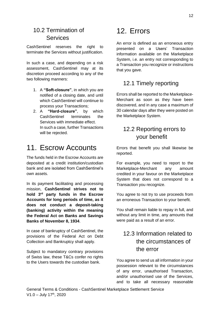### <span id="page-11-0"></span>10.2 Termination of Services

CashSentinel reserves the right to terminate the Services without justification.

In such a case, and depending on a risk assessment, CashSentinel may at its discretion proceed according to any of the two following manners:

- 1. A **"Soft-closure"**, in which you are notified of a closing date, and until which CashSentinel will continue to process your Transactions;
- 2. A **"Hard-closure"**, by which CashSentinel terminates the Services with immediate effect. In such a case, further Transactions will be rejected.

### <span id="page-11-1"></span>11. Escrow Accounts

The funds held in the Escrow Accounts are deposited at a credit institution/custodian bank and are isolated from CashSentinel's own assets.

In its payment facilitating and processing mission, **CashSentinel strives not to hold 3rd party funds in the Escrow Accounts for long periods of time, as it does not conduct a deposit-taking (banking) activity within the meaning the Federal Act on Banks and Savings Banks of November 8, 1934**.

In case of bankruptcy of CashSentinel, the provisions of the Federal Act on Debt Collection and Bankruptcy shall apply.

Subject to mandatory contrary provisions of Swiss law, these T&Cs confer no rights to the Users towards the custodian bank.

# <span id="page-11-2"></span>12. Errors

An error is defined as an erroneous entry presented on a Users' Transaction information available on the Marketplace System, i.e. an entry not corresponding to a Transaction you recognize or instructions that you gave.

#### <span id="page-11-3"></span>12.1 Timely reporting

Errors shall be reported to the Marketplace-Merchant as soon as they have been discovered, and in any case a maximum of 30 calendar days after they were posted on the Marketplace System.

#### <span id="page-11-4"></span>12.2 Reporting errors to your benefit

Errors that benefit you shall likewise be reported.

For example, you need to report to the Marketplace-Merchant any amount credited in your favour on the Marketplace System that does not correspond to a Transaction you recognize.

You agree to not try to use proceeds from an erroneous Transaction to your benefit.

You shall remain liable to repay in full, and without any limit in time, any amounts that were paid as a result of an error.

### <span id="page-11-5"></span>12.3 Information related to the circumstances of the error

You agree to send us all information in your possession relevant to the circumstances of any error, unauthorised Transaction, and/or unauthorised use of the Services, and to take all necessary reasonable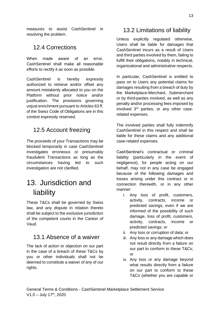measures to assist CashSentinel in resolving the problem.

### <span id="page-12-0"></span>12.4 Corrections

When made aware of an error, CashSentinel shall make all reasonable efforts to rectify it as soon as possible.

CashSentinel is hereby expressly authorized to retrieve and/or offset any amount mistakenly allocated to you on the Platform without prior notice and/or justification. The provisions governing unjust enrichment pursuant to Articles 63 ff. of the Swiss Code of Obligations are in this context expressly reserved.

### <span id="page-12-1"></span>12.5 Account freezing

The proceeds of your Transactions may be blocked temporarily in case CashSentinel investigates erroneous or presumably fraudulent Transactions as long as the circumstances having led to such investigation are not clarified.

# <span id="page-12-2"></span>13. Jurisdiction and liability

These T&Cs shall be governed by Swiss law, and any dispute in relation thereto shall be subject to the exclusive jurisdiction of the competent courts in the Canton of Vaud.

#### <span id="page-12-3"></span>13.1 Absence of a waiver

The lack of action or objection on our part in the case of a breach of these T&Cs by you or other individuals shall not be deemed to constitute a waiver of any of our rights.

#### <span id="page-12-4"></span>13.2 Limitations of liability

Unless explicitly regulated otherwise, Users shall be liable for damages that CashSentinel incurs as a result of Users and third parties involved by them, failing to fulfill their obligations, notably in technical, organizational and administrative respects.

In particular, CashSentinel is entitled to pass on to Users any potential claims for damages resulting from a breach of duty by the Marketplace-Merchant, Submerchant or by third-parties involved, as well as any penalty and/or processing fees imposed by involved 3rd parties, or any other caserelated expenses.

The involved parties shall fully indemnify CashSentinel in this respect and shall be liable for these claims and any additional case-related expenses.

CashSentinel's contractual or criminal liability (particularly in the event of negligence), for people acting on our behalf, may not in any case be engaged because of the following damages and losses arising under this contract or in connection therewith, or in any other manner:

- i. Any loss of profit, customers, activity, contracts, income or predicted savings, even if we are informed of the possibility of such damage, loss of profit, customers, activity, contracts, income or predicted savings; or
- ii. Any loss or corruption of data; or
- iii. Any loss or any damage which does not result directly from a failure on our part to conform to these T&Cs; or
- iv. Any loss or any damage beyond what results directly from a failure on our part to conform to these T&Cs (whether you are capable or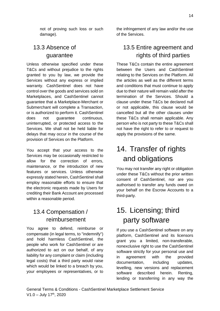not of proving such loss or such damage).

### <span id="page-13-0"></span>13.3 Absence of guarantee

Unless otherwise specified under these T&Cs and without prejudice to the rights granted to you by law, we provide the Services without any express or implied warranty. CashSentinel does not have control over the goods and services sold on Marketplaces, and CashSentinel cannot guarantee that a Marketplace-Merchant or Submerchant will complete a Transaction, or is authorized to perform it. CashSentinel does not guarantee continuous, uninterrupted, or protected access to the Services. We shall not be held liable for delays that may occur in the course of the provision of Services on the Platform.

You accept that your access to the Services may be occasionally restricted to allow for the correction of errors, maintenance, or the introduction of new features or services. Unless otherwise expressly stated herein, CashSentinel shall employ reasonable efforts to ensure that the electronic requests made by Users for crediting their Bank Account are processed within a reasonable period.

### <span id="page-13-1"></span>13.4 Compensation / reimbursement

You agree to defend, reimburse or compensate (in legal terms, to "indemnify") and hold harmless CashSentinel, the people who work for CashSentinel or are authorized to act on our behalf, of any liability for any complaint or claim (including legal costs) that a third party would raise which would be linked to a breach by you, your employees or representatives, or to

the infringement of any law and/or the use of the Services.

### <span id="page-13-2"></span>13.5 Entire agreement and rights of third parties

These T&Cs contain the entire agreement between the Users and CashSentinel relating to the Services on the Platform. All the articles as well as the different terms and conditions that must continue to apply due to their nature will remain valid after the termination of the Services. Should a clause under these T&Cs be declared null or not applicable, this clause would be cancelled but all the other clauses under these T&Cs shall remain applicable. Any person who is not party to these T&Cs shall not have the right to refer to or request to apply the provisions of the same.

# <span id="page-13-3"></span>14. Transfer of rights and obligations

You may not transfer any right or obligation under these T&Cs without the prior written consent of CashSentinel, nor are you authorised to transfer any funds owed on your behalf on the Escrow Accounts to a third-party.

## <span id="page-13-4"></span>15. Licensing; third party software

If you use a CashSentinel software on any platform, CashSentinel and its licensors grant you a limited, non-transferable, nonexclusive right to use the CashSentinel software strictly for your personal use and in agreement with the provided documentation, including updates, levelling, new versions and replacement software described herein. Renting, lending or transferring in any way the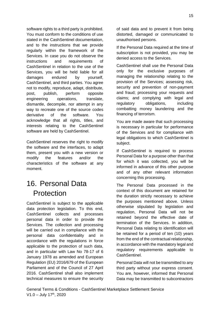software rights to a third party is prohibited. You must conform to the conditions of use stated in the CashSentinel documentation, and to the instructions that we provide regularly within the framework of the Services. In case you do not observe the instructions and requirements of CashSentinel in relation to the use of the Services, you will be held liable for all damages endured by yourself, CashSentinel, and third parties. You agree not to modify, reproduce, adapt, distribute, post, publish, perform opposite engineering operations, translate, dismantle, decompile, nor attempt in any way to recreate one of the source codes derivative of the software. You acknowledge that all rights, titles, and interests relating to the CashSentinel software are held by CashSentinel.

CashSentinel reserves the right to modify the software and the interfaces, to adapt them, present you with a new version or modify the features and/or the characteristics of the software at any moment.

### <span id="page-14-0"></span>16. Personal Data Protection

CashSentinel is subject to the applicable data protection legislation. To this end, CashSentinel collects and processes personal data in order to provide the Services. The collection and processing will be carried out in compliance with the personal data confidentiality and in accordance with the regulations in force applicable to the protection of such data, and in particular with Law No 78-17 of 6 January 1978 as amended and European Regulation (EU) 2016/679 of the European Parliament and of the Council of 27 April 2016. CashSentinel shall also implement technical measures to ensure the security

of said data and to prevent it from being distorted, damaged or communicated to unauthorised persons.

If the Personal Data required at the time of subscription is not provided, you may be denied access to the Services.

CashSentinel shall use the Personal Data only for the exclusive purposes of managing the relationship relating to the provision of the Services; assessing risk, security and prevention of non-payment and fraud; processing your requests and claims; and complying with legal and regulatory obligations, including combatting money laundering and the financing of terrorism.

You are made aware that such processing is necessary in particular for performance of the Services and for compliance with legal obligations to which CashSentinel is subject.

If CashSentinel is required to process Personal Data for a purpose other than that for which it was collected, you will be informed in advance of this other purpose and of any other relevant information concerning this processing.

The Personal Data processed in the context of this document are retained for the duration strictly necessary to achieve the purposes mentioned above. Unless otherwise stipulated by legislation and regulation, Personal Data will not be retained beyond the effective date of termination of the Services. In addition, Personal Data relating to identification will be retained for a period of ten (10) years from the end of the contractual relationship, in accordance with the mandatory legal and regulatory requirements applicable to CashSentinel.

Personal Data will not be transmitted to any third party without your express consent. You are, however, informed that Personal Data may be transmitted to subcontractors

General Terms & Conditions - CashSentinel Marketplace Settlement Service  $V1.0 - July 17<sup>th</sup>, 2020$